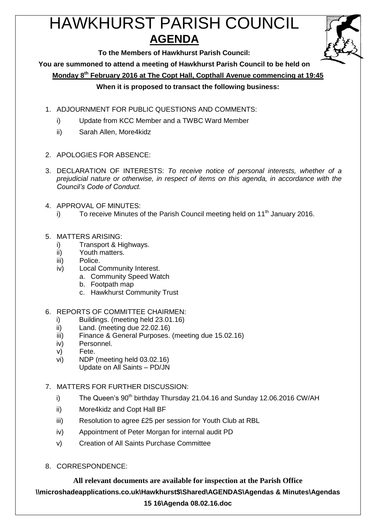# HAWKHURST PARISH COUNCIL **AGENDA**



**To the Members of Hawkhurst Parish Council:**

**You are summoned to attend a meeting of Hawkhurst Parish Council to be held on**

**Monday 8th February 2016 at The Copt Hall, Copthall Avenue commencing at 19:45**

### **When it is proposed to transact the following business:**

- 1. ADJOURNMENT FOR PUBLIC QUESTIONS AND COMMENTS:
	- i) Update from KCC Member and a TWBC Ward Member
	- ii) Sarah Allen, More4kidz
- 2. APOLOGIES FOR ABSENCE:
- 3. DECLARATION OF INTERESTS: *To receive notice of personal interests, whether of a prejudicial nature or otherwise, in respect of items on this agenda, in accordance with the Council's Code of Conduct.*
- 4. APPROVAL OF MINUTES:
	- i) To receive Minutes of the Parish Council meeting held on  $11<sup>th</sup>$  January 2016.
- 5. MATTERS ARISING:
	- i) Transport & Highways.
	- ii) Youth matters.
	- iii) Police.
	- iv) Local Community Interest.
		- a. Community Speed Watch
		- b. Footpath map
		- c. Hawkhurst Community Trust
- 6. REPORTS OF COMMITTEE CHAIRMEN:
	- i) Buildings. (meeting held 23.01.16)
	- ii) Land. (meeting due 22.02.16)
	- iii) Finance & General Purposes. (meeting due 15.02.16)
	- iv) Personnel.
	- v) Fete.
	- vi) NDP (meeting held 03.02.16)
		- Update on All Saints PD/JN
- 7. MATTERS FOR FURTHER DISCUSSION:
	- i) The Queen's  $90<sup>th</sup>$  birthday Thursday 21.04.16 and Sunday 12.06.2016 CW/AH
	- ii) More4kidz and Copt Hall BF
	- iii) Resolution to agree £25 per session for Youth Club at RBL
	- iv) Appointment of Peter Morgan for internal audit PD
	- v) Creation of All Saints Purchase Committee
- 8. CORRESPONDENCE:

**All relevant documents are available for inspection at the Parish Office \\microshadeapplications.co.uk\Hawkhurst\$\Shared\AGENDAS\Agendas & Minutes\Agendas 15 16\Agenda 08.02.16.doc**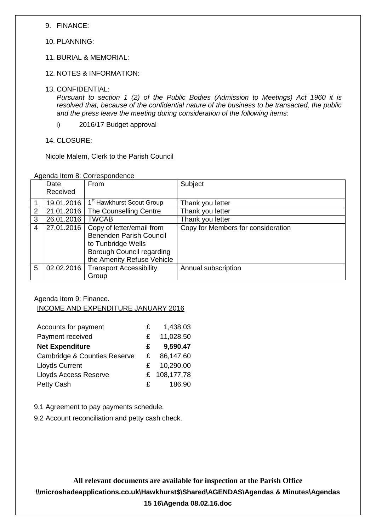9. FINANCE:

10. PLANNING:

- 11. BURIAL & MEMORIAL:
- 12. NOTES & INFORMATION:
- 13. CONFIDENTIAL:

*Pursuant to section 1 (2) of the Public Bodies (Admission to Meetings) Act 1960 it is resolved that, because of the confidential nature of the business to be transacted, the public and the press leave the meeting during consideration of the following items:*

i) 2016/17 Budget approval

14. CLOSURE:

Nicole Malem, Clerk to the Parish Council

|   | Date       | From                                  | Subject                            |
|---|------------|---------------------------------------|------------------------------------|
|   | Received   |                                       |                                    |
|   | 19.01.2016 | 1 <sup>st</sup> Hawkhurst Scout Group | Thank you letter                   |
| 2 | 21.01.2016 | The Counselling Centre                | Thank you letter                   |
| 3 | 26.01.2016 | <b>TWCAB</b>                          | Thank you letter                   |
| 4 | 27.01.2016 | Copy of letter/email from             | Copy for Members for consideration |
|   |            | <b>Benenden Parish Council</b>        |                                    |
|   |            | to Tunbridge Wells                    |                                    |
|   |            | Borough Council regarding             |                                    |
|   |            | the Amenity Refuse Vehicle            |                                    |
| 5 | 02.02.2016 | <b>Transport Accessibility</b>        | Annual subscription                |
|   |            | Group                                 |                                    |

Agenda Item 9: Finance. INCOME AND EXPENDITURE JANUARY 2016

| Accounts for payment                    | £  | 1,438.03   |
|-----------------------------------------|----|------------|
| Payment received                        | £  | 11,028.50  |
| <b>Net Expenditure</b>                  | £  | 9,590.47   |
| <b>Cambridge &amp; Counties Reserve</b> | £  | 86,147.60  |
| <b>Lloyds Current</b>                   | £. | 10,290.00  |
| <b>Lloyds Access Reserve</b>            | £  | 108,177.78 |
| Petty Cash                              | £  | 186.90     |

9.1 Agreement to pay payments schedule.

9.2 Account reconciliation and petty cash check.

**All relevant documents are available for inspection at the Parish Office \\microshadeapplications.co.uk\Hawkhurst\$\Shared\AGENDAS\Agendas & Minutes\Agendas 15 16\Agenda 08.02.16.doc**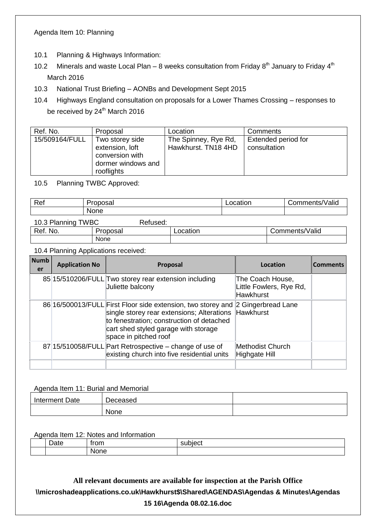#### Agenda Item 10: Planning

- 10.1 Planning & Highways Information:
- 10.2 Minerals and waste Local Plan 8 weeks consultation from Friday  $8<sup>th</sup>$  January to Friday  $4<sup>th</sup>$ March 2016
- 10.3 National Trust Briefing AONBs and Development Sept 2015
- 10.4 Highways England consultation on proposals for a Lower Thames Crossing responses to be received by 24<sup>th</sup> March 2016

| Proposal                                                                    | Location                                    | Comments                            |
|-----------------------------------------------------------------------------|---------------------------------------------|-------------------------------------|
| Two storey side<br>extension, loft<br>conversion with<br>dormer windows and | The Spinney, Rye Rd,<br>Hawkhurst. TN18 4HD | Extended period for<br>consultation |
|                                                                             | rooflights                                  |                                     |

10.5 Planning TWBC Approved:

| Ref | $- - -$<br>ווסטי | Location | <br>'Valio<br>Comments/ |
|-----|------------------|----------|-------------------------|
|     | <b>None</b>      |          |                         |
|     |                  |          |                         |

| 10.3 Planning TWBC | Refused:    |          |                |
|--------------------|-------------|----------|----------------|
| Ref. No.           | Proposal    | Location | Comments/Valid |
|                    | <b>None</b> |          |                |

10.4 Planning Applications received:

| <b>Numb</b><br>er | <b>Application No</b> | Proposal                                                                                                                                                                                                                                              | Location                                                        | <b>Comments</b> |
|-------------------|-----------------------|-------------------------------------------------------------------------------------------------------------------------------------------------------------------------------------------------------------------------------------------------------|-----------------------------------------------------------------|-----------------|
|                   |                       | 85 15/510206/FULL Two storey rear extension including<br>Juliette balcony                                                                                                                                                                             | The Coach House,<br>Little Fowlers, Rye Rd,<br><b>Hawkhurst</b> |                 |
|                   |                       | 86 16/500013/FULL First Floor side extension, two storey and 2 Gingerbread Lane<br>single storey rear extensions; Alterations Hawkhurst<br>to fenestration; construction of detached<br>cart shed styled garage with storage<br>space in pitched roof |                                                                 |                 |
|                   |                       | 87 15/510058/FULL Part Retrospective – change of use of<br>existing church into five residential units                                                                                                                                                | Methodist Church<br>Highgate Hill                               |                 |
|                   |                       |                                                                                                                                                                                                                                                       |                                                                 |                 |

#### Agenda Item 11: Burial and Memorial

| Interment Date | Deceased |  |
|----------------|----------|--|
|                | None     |  |

#### Agenda Item 12: Notes and Information

| -<br>، ۱۰۰<br>Dalt<br>. . | from | subject<br>™olec⊾ |
|---------------------------|------|-------------------|
|                           | None |                   |

## **All relevant documents are available for inspection at the Parish Office \\microshadeapplications.co.uk\Hawkhurst\$\Shared\AGENDAS\Agendas & Minutes\Agendas 15 16\Agenda 08.02.16.doc**